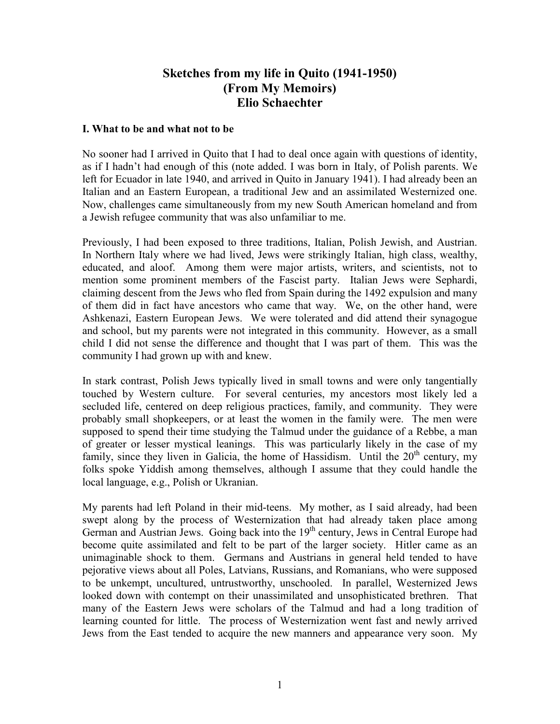# **Sketches from my life in Quito (1941-1950) (From My Memoirs) Elio Schaechter**

#### **I. What to be and what not to be**

No sooner had I arrived in Quito that I had to deal once again with questions of identity, as if I hadn't had enough of this (note added. I was born in Italy, of Polish parents. We left for Ecuador in late 1940, and arrived in Quito in January 1941). I had already been an Italian and an Eastern European, a traditional Jew and an assimilated Westernized one. Now, challenges came simultaneously from my new South American homeland and from a Jewish refugee community that was also unfamiliar to me.

Previously, I had been exposed to three traditions, Italian, Polish Jewish, and Austrian. In Northern Italy where we had lived, Jews were strikingly Italian, high class, wealthy, educated, and aloof. Among them were major artists, writers, and scientists, not to mention some prominent members of the Fascist party. Italian Jews were Sephardi, claiming descent from the Jews who fled from Spain during the 1492 expulsion and many of them did in fact have ancestors who came that way. We, on the other hand, were Ashkenazi, Eastern European Jews. We were tolerated and did attend their synagogue and school, but my parents were not integrated in this community. However, as a small child I did not sense the difference and thought that I was part of them. This was the community I had grown up with and knew.

In stark contrast, Polish Jews typically lived in small towns and were only tangentially touched by Western culture. For several centuries, my ancestors most likely led a secluded life, centered on deep religious practices, family, and community. They were probably small shopkeepers, or at least the women in the family were. The men were supposed to spend their time studying the Talmud under the guidance of a Rebbe, a man of greater or lesser mystical leanings. This was particularly likely in the case of my family, since they liven in Galicia, the home of Hassidism. Until the  $20<sup>th</sup>$  century, my folks spoke Yiddish among themselves, although I assume that they could handle the local language, e.g., Polish or Ukranian.

My parents had left Poland in their mid-teens. My mother, as I said already, had been swept along by the process of Westernization that had already taken place among German and Austrian Jews. Going back into the 19<sup>th</sup> century, Jews in Central Europe had become quite assimilated and felt to be part of the larger society. Hitler came as an unimaginable shock to them. Germans and Austrians in general held tended to have pejorative views about all Poles, Latvians, Russians, and Romanians, who were supposed to be unkempt, uncultured, untrustworthy, unschooled. In parallel, Westernized Jews looked down with contempt on their unassimilated and unsophisticated brethren. That many of the Eastern Jews were scholars of the Talmud and had a long tradition of learning counted for little. The process of Westernization went fast and newly arrived Jews from the East tended to acquire the new manners and appearance very soon. My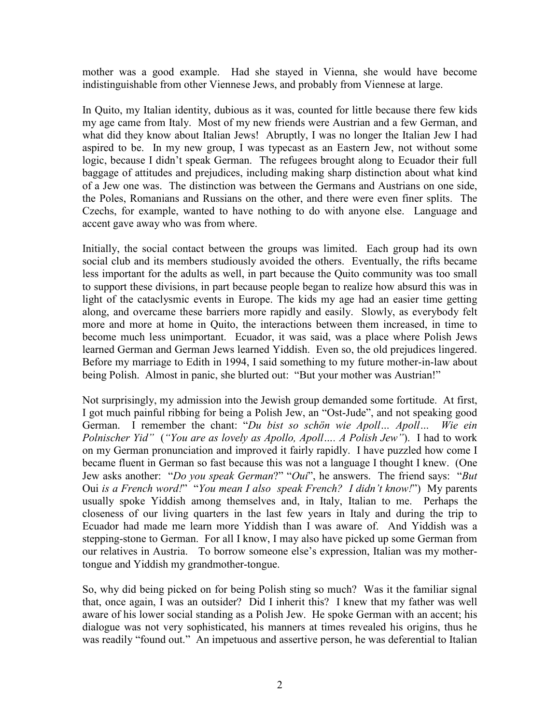mother was a good example. Had she stayed in Vienna, she would have become indistinguishable from other Viennese Jews, and probably from Viennese at large.

In Quito, my Italian identity, dubious as it was, counted for little because there few kids my age came from Italy. Most of my new friends were Austrian and a few German, and what did they know about Italian Jews! Abruptly, I was no longer the Italian Jew I had aspired to be. In my new group, I was typecast as an Eastern Jew, not without some logic, because I didn't speak German. The refugees brought along to Ecuador their full baggage of attitudes and prejudices, including making sharp distinction about what kind of a Jew one was. The distinction was between the Germans and Austrians on one side, the Poles, Romanians and Russians on the other, and there were even finer splits. The Czechs, for example, wanted to have nothing to do with anyone else. Language and accent gave away who was from where.

Initially, the social contact between the groups was limited. Each group had its own social club and its members studiously avoided the others. Eventually, the rifts became less important for the adults as well, in part because the Quito community was too small to support these divisions, in part because people began to realize how absurd this was in light of the cataclysmic events in Europe. The kids my age had an easier time getting along, and overcame these barriers more rapidly and easily. Slowly, as everybody felt more and more at home in Quito, the interactions between them increased, in time to become much less unimportant. Ecuador, it was said, was a place where Polish Jews learned German and German Jews learned Yiddish. Even so, the old prejudices lingered. Before my marriage to Edith in 1994, I said something to my future mother-in-law about being Polish. Almost in panic, she blurted out: "But your mother was Austrian!"

Not surprisingly, my admission into the Jewish group demanded some fortitude. At first, I got much painful ribbing for being a Polish Jew, an "Ost-Jude", and not speaking good German. I remember the chant: "*Du bist so schön wie Apoll… Apoll… Wie ein Polnischer Yid"* (*"You are as lovely as Apollo, Apoll…. A Polish Jew"*). I had to work on my German pronunciation and improved it fairly rapidly. I have puzzled how come I became fluent in German so fast because this was not a language I thought I knew. (One Jew asks another: "*Do you speak German*?" "*Oui*", he answers. The friend says: "*But*  Oui *is a French word!*" "*You mean I also speak French? I didn't know!*") My parents usually spoke Yiddish among themselves and, in Italy, Italian to me. Perhaps the closeness of our living quarters in the last few years in Italy and during the trip to Ecuador had made me learn more Yiddish than I was aware of. And Yiddish was a stepping-stone to German. For all I know, I may also have picked up some German from our relatives in Austria. To borrow someone else's expression, Italian was my mothertongue and Yiddish my grandmother-tongue.

So, why did being picked on for being Polish sting so much? Was it the familiar signal that, once again, I was an outsider? Did I inherit this? I knew that my father was well aware of his lower social standing as a Polish Jew. He spoke German with an accent; his dialogue was not very sophisticated, his manners at times revealed his origins, thus he was readily "found out." An impetuous and assertive person, he was deferential to Italian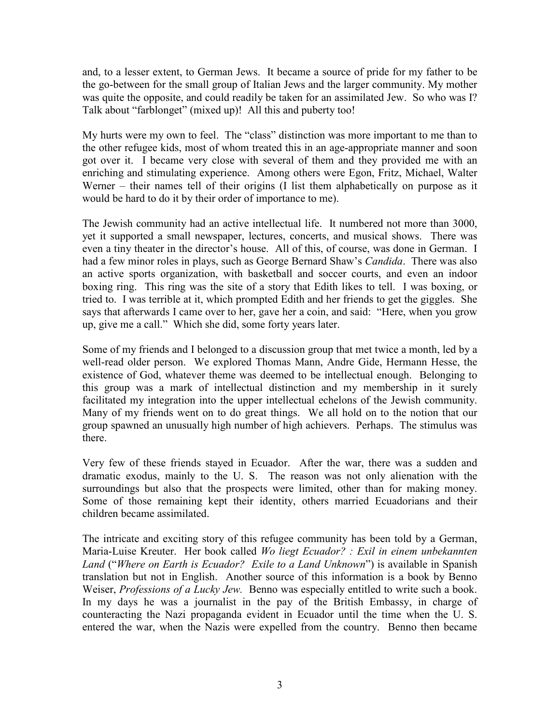and, to a lesser extent, to German Jews. It became a source of pride for my father to be the go-between for the small group of Italian Jews and the larger community. My mother was quite the opposite, and could readily be taken for an assimilated Jew. So who was I? Talk about "farblonget" (mixed up)! All this and puberty too!

My hurts were my own to feel. The "class" distinction was more important to me than to the other refugee kids, most of whom treated this in an age-appropriate manner and soon got over it. I became very close with several of them and they provided me with an enriching and stimulating experience. Among others were Egon, Fritz, Michael, Walter Werner – their names tell of their origins (I list them alphabetically on purpose as it would be hard to do it by their order of importance to me).

The Jewish community had an active intellectual life. It numbered not more than 3000, yet it supported a small newspaper, lectures, concerts, and musical shows. There was even a tiny theater in the director's house. All of this, of course, was done in German. I had a few minor roles in plays, such as George Bernard Shaw's *Candida*. There was also an active sports organization, with basketball and soccer courts, and even an indoor boxing ring. This ring was the site of a story that Edith likes to tell. I was boxing, or tried to. I was terrible at it, which prompted Edith and her friends to get the giggles. She says that afterwards I came over to her, gave her a coin, and said: "Here, when you grow up, give me a call." Which she did, some forty years later.

Some of my friends and I belonged to a discussion group that met twice a month, led by a well-read older person. We explored Thomas Mann, Andre Gide, Hermann Hesse, the existence of God, whatever theme was deemed to be intellectual enough. Belonging to this group was a mark of intellectual distinction and my membership in it surely facilitated my integration into the upper intellectual echelons of the Jewish community. Many of my friends went on to do great things. We all hold on to the notion that our group spawned an unusually high number of high achievers. Perhaps. The stimulus was there.

Very few of these friends stayed in Ecuador. After the war, there was a sudden and dramatic exodus, mainly to the U. S. The reason was not only alienation with the surroundings but also that the prospects were limited, other than for making money. Some of those remaining kept their identity, others married Ecuadorians and their children became assimilated.

The intricate and exciting story of this refugee community has been told by a German, Maria-Luise Kreuter. Her book called *Wo liegt Ecuador? : Exil in einem unbekannten Land* ("*Where on Earth is Ecuador? Exile to a Land Unknown*") is available in Spanish translation but not in English. Another source of this information is a book by Benno Weiser, *Professions of a Lucky Jew.* Benno was especially entitled to write such a book. In my days he was a journalist in the pay of the British Embassy, in charge of counteracting the Nazi propaganda evident in Ecuador until the time when the U. S. entered the war, when the Nazis were expelled from the country. Benno then became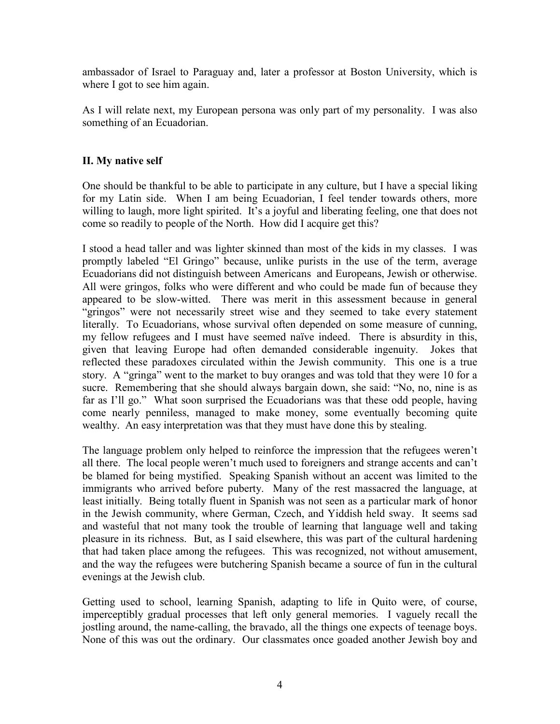ambassador of Israel to Paraguay and, later a professor at Boston University, which is where I got to see him again.

As I will relate next, my European persona was only part of my personality. I was also something of an Ecuadorian.

### **II. My native self**

One should be thankful to be able to participate in any culture, but I have a special liking for my Latin side. When I am being Ecuadorian, I feel tender towards others, more willing to laugh, more light spirited. It's a joyful and liberating feeling, one that does not come so readily to people of the North. How did I acquire get this?

I stood a head taller and was lighter skinned than most of the kids in my classes. I was promptly labeled "El Gringo" because, unlike purists in the use of the term, average Ecuadorians did not distinguish between Americans and Europeans, Jewish or otherwise. All were gringos, folks who were different and who could be made fun of because they appeared to be slow-witted. There was merit in this assessment because in general "gringos" were not necessarily street wise and they seemed to take every statement literally. To Ecuadorians, whose survival often depended on some measure of cunning, my fellow refugees and I must have seemed naïve indeed. There is absurdity in this, given that leaving Europe had often demanded considerable ingenuity. Jokes that reflected these paradoxes circulated within the Jewish community. This one is a true story. A "gringa" went to the market to buy oranges and was told that they were 10 for a sucre. Remembering that she should always bargain down, she said: "No, no, nine is as far as I'll go." What soon surprised the Ecuadorians was that these odd people, having come nearly penniless, managed to make money, some eventually becoming quite wealthy. An easy interpretation was that they must have done this by stealing.

The language problem only helped to reinforce the impression that the refugees weren't all there. The local people weren't much used to foreigners and strange accents and can't be blamed for being mystified. Speaking Spanish without an accent was limited to the immigrants who arrived before puberty. Many of the rest massacred the language, at least initially. Being totally fluent in Spanish was not seen as a particular mark of honor in the Jewish community, where German, Czech, and Yiddish held sway. It seems sad and wasteful that not many took the trouble of learning that language well and taking pleasure in its richness. But, as I said elsewhere, this was part of the cultural hardening that had taken place among the refugees. This was recognized, not without amusement, and the way the refugees were butchering Spanish became a source of fun in the cultural evenings at the Jewish club.

Getting used to school, learning Spanish, adapting to life in Quito were, of course, imperceptibly gradual processes that left only general memories. I vaguely recall the jostling around, the name-calling, the bravado, all the things one expects of teenage boys. None of this was out the ordinary. Our classmates once goaded another Jewish boy and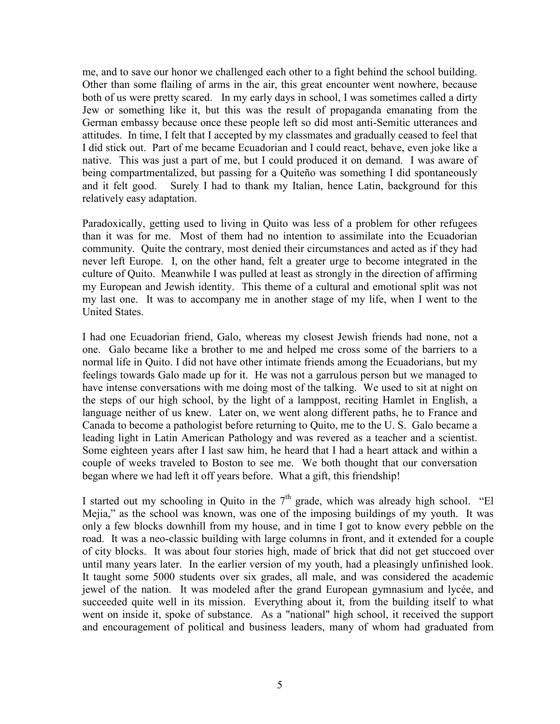me, and to save our honor we challenged each other to a fight behind the school building. Other than some flailing of arms in the air, this great encounter went nowhere, because both of us were pretty scared. In my early days in school, I was sometimes called a dirty Jew or something like it, but this was the result of propaganda emanating from the German embassy because once these people left so did most anti-Semitic utterances and attitudes. In time, I felt that I accepted by my classmates and gradually ceased to feel that I did stick out. Part of me became Ecuadorian and I could react, behave, even joke like a native. This was just a part of me, but I could produced it on demand. I was aware of being compartmentalized, but passing for a Quiteño was something I did spontaneously and it felt good. Surely I had to thank my Italian, hence Latin, background for this relatively easy adaptation.

Paradoxically, getting used to living in Quito was less of a problem for other refugees than it was for me. Most of them had no intention to assimilate into the Ecuadorian community. Quite the contrary, most denied their circumstances and acted as if they had never left Europe. I, on the other hand, felt a greater urge to become integrated in the culture of Quito. Meanwhile I was pulled at least as strongly in the direction of affirming my European and Jewish identity. This theme of a cultural and emotional split was not my last one. It was to accompany me in another stage of my life, when I went to the United States.

I had one Ecuadorian friend, Galo, whereas my closest Jewish friends had none, not a one. Galo became like a brother to me and helped me cross some of the barriers to a normal life in Quito. I did not have other intimate friends among the Ecuadorians, but my feelings towards Galo made up for it. He was not a garrulous person but we managed to have intense conversations with me doing most of the talking. We used to sit at night on the steps of our high school, by the light of a lamppost, reciting Hamlet in English, a language neither of us knew. Later on, we went along different paths, he to France and Canada to become a pathologist before returning to Quito, me to the U. S. Galo became a leading light in Latin American Pathology and was revered as a teacher and a scientist. Some eighteen years after I last saw him, he heard that I had a heart attack and within a couple of weeks traveled to Boston to see me. We both thought that our conversation began where we had left it off years before. What a gift, this friendship!

I started out my schooling in Quito in the  $7<sup>th</sup>$  grade, which was already high school. "El Mejia," as the school was known, was one of the imposing buildings of my youth. It was only a few blocks downhill from my house, and in time I got to know every pebble on the road. It was a neo-classic building with large columns in front, and it extended for a couple of city blocks. It was about four stories high, made of brick that did not get stuccoed over until many years later. In the earlier version of my youth, had a pleasingly unfinished look. It taught some 5000 students over six grades, all male, and was considered the academic jewel of the nation. It was modeled after the grand European gymnasium and lycée, and succeeded quite well in its mission. Everything about it, from the building itself to what went on inside it, spoke of substance. As a "national" high school, it received the support and encouragement of political and business leaders, many of whom had graduated from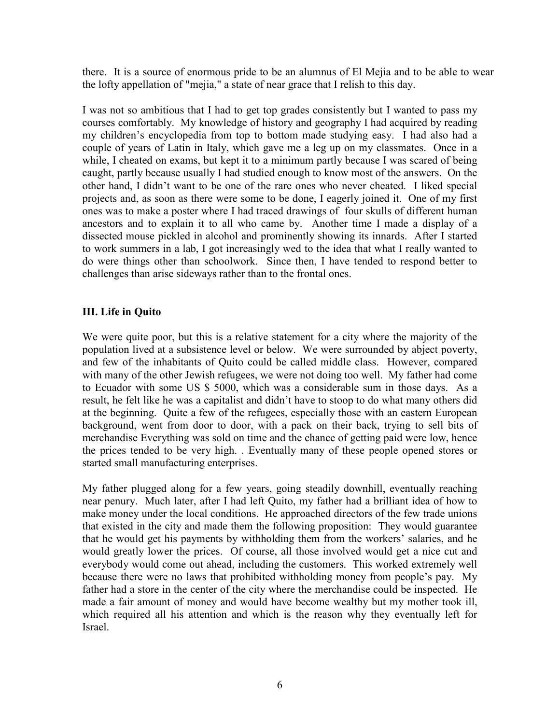there. It is a source of enormous pride to be an alumnus of El Mejia and to be able to wear the lofty appellation of "mejia," a state of near grace that I relish to this day.

I was not so ambitious that I had to get top grades consistently but I wanted to pass my courses comfortably. My knowledge of history and geography I had acquired by reading my children's encyclopedia from top to bottom made studying easy. I had also had a couple of years of Latin in Italy, which gave me a leg up on my classmates. Once in a while, I cheated on exams, but kept it to a minimum partly because I was scared of being caught, partly because usually I had studied enough to know most of the answers. On the other hand, I didn't want to be one of the rare ones who never cheated. I liked special projects and, as soon as there were some to be done, I eagerly joined it. One of my first ones was to make a poster where I had traced drawings of four skulls of different human ancestors and to explain it to all who came by. Another time I made a display of a dissected mouse pickled in alcohol and prominently showing its innards. After I started to work summers in a lab, I got increasingly wed to the idea that what I really wanted to do were things other than schoolwork. Since then, I have tended to respond better to challenges than arise sideways rather than to the frontal ones.

#### **III. Life in Quito**

We were quite poor, but this is a relative statement for a city where the majority of the population lived at a subsistence level or below. We were surrounded by abject poverty, and few of the inhabitants of Quito could be called middle class. However, compared with many of the other Jewish refugees, we were not doing too well. My father had come to Ecuador with some US \$ 5000, which was a considerable sum in those days. As a result, he felt like he was a capitalist and didn't have to stoop to do what many others did at the beginning. Quite a few of the refugees, especially those with an eastern European background, went from door to door, with a pack on their back, trying to sell bits of merchandise Everything was sold on time and the chance of getting paid were low, hence the prices tended to be very high. . Eventually many of these people opened stores or started small manufacturing enterprises.

My father plugged along for a few years, going steadily downhill, eventually reaching near penury. Much later, after I had left Quito, my father had a brilliant idea of how to make money under the local conditions. He approached directors of the few trade unions that existed in the city and made them the following proposition: They would guarantee that he would get his payments by withholding them from the workers' salaries, and he would greatly lower the prices. Of course, all those involved would get a nice cut and everybody would come out ahead, including the customers. This worked extremely well because there were no laws that prohibited withholding money from people's pay. My father had a store in the center of the city where the merchandise could be inspected. He made a fair amount of money and would have become wealthy but my mother took ill, which required all his attention and which is the reason why they eventually left for Israel.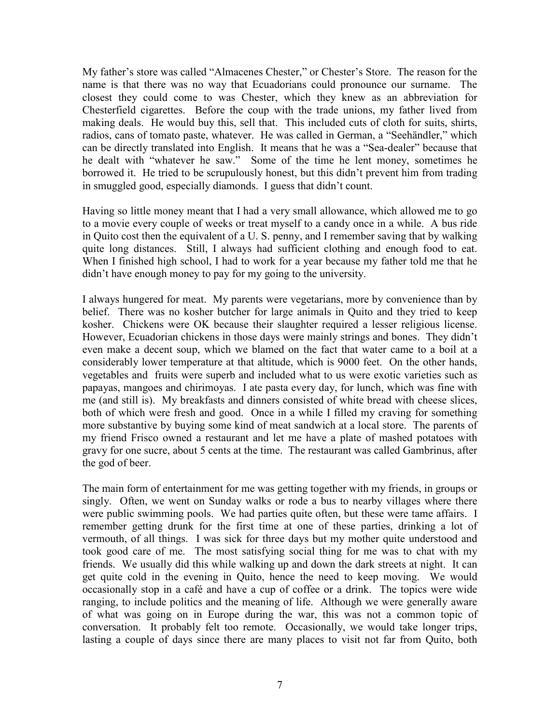My father's store was called "Almacenes Chester," or Chester's Store. The reason for the name is that there was no way that Ecuadorians could pronounce our surname. The closest they could come to was Chester, which they knew as an abbreviation for Chesterfield cigarettes. Before the coup with the trade unions, my father lived from making deals. He would buy this, sell that. This included cuts of cloth for suits, shirts, radios, cans of tomato paste, whatever. He was called in German, a "Seehändler," which can be directly translated into English. It means that he was a "Sea-dealer" because that he dealt with "whatever he saw." Some of the time he lent money, sometimes he borrowed it. He tried to be scrupulously honest, but this didn't prevent him from trading in smuggled good, especially diamonds. I guess that didn't count.

Having so little money meant that I had a very small allowance, which allowed me to go to a movie every couple of weeks or treat myself to a candy once in a while. A bus ride in Quito cost then the equivalent of a U. S. penny, and I remember saving that by walking quite long distances. Still, I always had sufficient clothing and enough food to eat. When I finished high school, I had to work for a year because my father told me that he didn't have enough money to pay for my going to the university.

I always hungered for meat. My parents were vegetarians, more by convenience than by belief. There was no kosher butcher for large animals in Quito and they tried to keep kosher. Chickens were OK because their slaughter required a lesser religious license. However, Ecuadorian chickens in those days were mainly strings and bones. They didn't even make a decent soup, which we blamed on the fact that water came to a boil at a considerably lower temperature at that altitude, which is 9000 feet. On the other hands, vegetables and fruits were superb and included what to us were exotic varieties such as papayas, mangoes and chirimoyas. I ate pasta every day, for lunch, which was fine with me (and still is). My breakfasts and dinners consisted of white bread with cheese slices, both of which were fresh and good. Once in a while I filled my craving for something more substantive by buying some kind of meat sandwich at a local store. The parents of my friend Frisco owned a restaurant and let me have a plate of mashed potatoes with gravy for one sucre, about 5 cents at the time. The restaurant was called Gambrinus, after the god of beer.

The main form of entertainment for me was getting together with my friends, in groups or singly. Often, we went on Sunday walks or rode a bus to nearby villages where there were public swimming pools. We had parties quite often, but these were tame affairs. I remember getting drunk for the first time at one of these parties, drinking a lot of vermouth, of all things. I was sick for three days but my mother quite understood and took good care of me. The most satisfying social thing for me was to chat with my friends. We usually did this while walking up and down the dark streets at night. It can get quite cold in the evening in Quito, hence the need to keep moving. We would occasionally stop in a café and have a cup of coffee or a drink. The topics were wide ranging, to include politics and the meaning of life. Although we were generally aware of what was going on in Europe during the war, this was not a common topic of conversation. It probably felt too remote. Occasionally, we would take longer trips, lasting a couple of days since there are many places to visit not far from Quito, both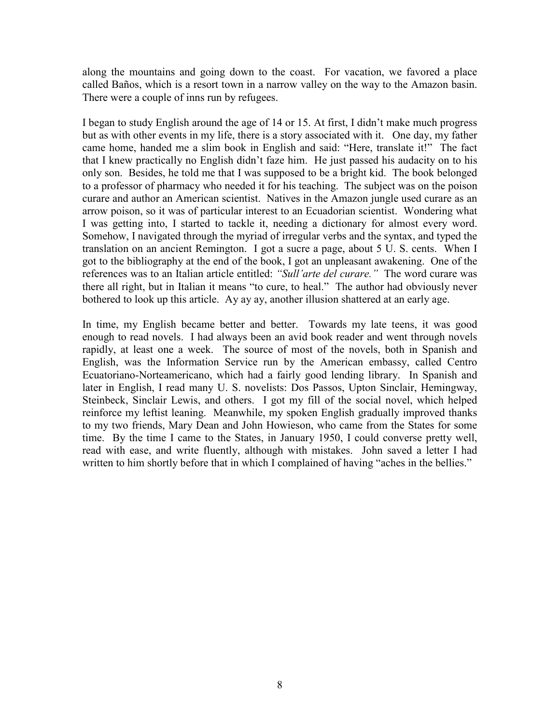along the mountains and going down to the coast. For vacation, we favored a place called Baños, which is a resort town in a narrow valley on the way to the Amazon basin. There were a couple of inns run by refugees.

I began to study English around the age of 14 or 15. At first, I didn't make much progress but as with other events in my life, there is a story associated with it. One day, my father came home, handed me a slim book in English and said: "Here, translate it!" The fact that I knew practically no English didn't faze him. He just passed his audacity on to his only son. Besides, he told me that I was supposed to be a bright kid. The book belonged to a professor of pharmacy who needed it for his teaching. The subject was on the poison curare and author an American scientist. Natives in the Amazon jungle used curare as an arrow poison, so it was of particular interest to an Ecuadorian scientist. Wondering what I was getting into, I started to tackle it, needing a dictionary for almost every word. Somehow, I navigated through the myriad of irregular verbs and the syntax, and typed the translation on an ancient Remington. I got a sucre a page, about 5 U. S. cents. When I got to the bibliography at the end of the book, I got an unpleasant awakening. One of the references was to an Italian article entitled: *"Sull'arte del curare."* The word curare was there all right, but in Italian it means "to cure, to heal." The author had obviously never bothered to look up this article. Ay ay ay, another illusion shattered at an early age.

In time, my English became better and better. Towards my late teens, it was good enough to read novels. I had always been an avid book reader and went through novels rapidly, at least one a week. The source of most of the novels, both in Spanish and English, was the Information Service run by the American embassy, called Centro Ecuatoriano-Norteamericano, which had a fairly good lending library. In Spanish and later in English, I read many U. S. novelists: Dos Passos, Upton Sinclair, Hemingway, Steinbeck, Sinclair Lewis, and others. I got my fill of the social novel, which helped reinforce my leftist leaning. Meanwhile, my spoken English gradually improved thanks to my two friends, Mary Dean and John Howieson, who came from the States for some time. By the time I came to the States, in January 1950, I could converse pretty well, read with ease, and write fluently, although with mistakes. John saved a letter I had written to him shortly before that in which I complained of having "aches in the bellies."